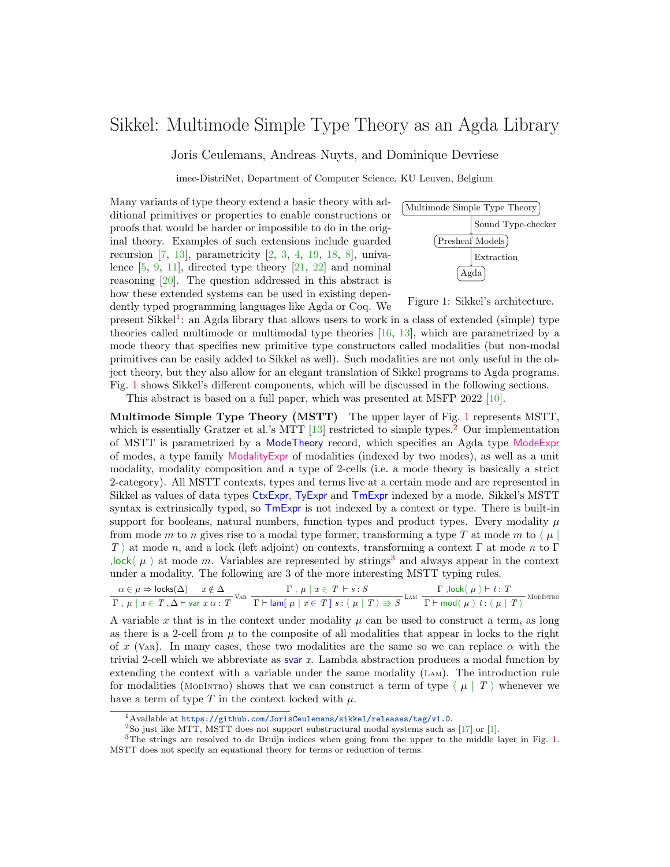## Sikkel: Multimode Simple Type Theory as an Agda Library

Joris Ceulemans, Andreas Nuyts, and Dominique Devriese

imec-DistriNet, Department of Computer Science, KU Leuven, Belgium

Many variants of type theory extend a basic theory with additional primitives or properties to enable constructions or proofs that would be harder or impossible to do in the original theory. Examples of such extensions include guarded recursion [\[7,](#page-2-0) [13\]](#page-2-1), parametricity [\[2,](#page-2-2) [3,](#page-2-3) [4,](#page-2-4) [19,](#page-3-0) [18,](#page-3-1) [8\]](#page-2-5), univalence [\[5,](#page-2-6) [9,](#page-2-7) [11\]](#page-2-8), directed type theory [\[21,](#page-3-2) [22\]](#page-3-3) and nominal reasoning [\[20\]](#page-3-4). The question addressed in this abstract is how these extended systems can be used in existing dependently typed programming languages like Agda or Coq. We



<span id="page-0-1"></span>Figure 1: Sikkel's architecture.

present Sikkel<sup>[1](#page-0-0)</sup>: an Agda library that allows users to work in a class of extended (simple) type theories called multimode or multimodal type theories [\[16,](#page-3-5) [13\]](#page-2-1), which are parametrized by a mode theory that specifies new primitive type constructors called modalities (but non-modal primitives can be easily added to Sikkel as well). Such modalities are not only useful in the object theory, but they also allow for an elegant translation of Sikkel programs to Agda programs. Fig. [1](#page-0-1) shows Sikkel's different components, which will be discussed in the following sections.

This abstract is based on a full paper, which was presented at MSFP 2022 [\[10\]](#page-2-9).

Multimode Simple Type Theory (MSTT) The upper layer of Fig. [1](#page-0-1) represents MSTT, which is essentially Gratzer et al.'s MTT  $[13]$  restricted to simple types.<sup>[2](#page-0-2)</sup> Our implementation of MSTT is parametrized by a ModeTheory record, which specifies an Agda type ModeExpr of modes, a type family ModalityExpr of modalities (indexed by two modes), as well as a unit modality, modality composition and a type of 2-cells (i.e. a mode theory is basically a strict 2-category). All MSTT contexts, types and terms live at a certain mode and are represented in Sikkel as values of data types CtxExpr, TyExpr and TmExpr indexed by a mode. Sikkel's MSTT syntax is extrinsically typed, so  $\mathsf{TmExpr}$  is not indexed by a context or type. There is built-in support for booleans, natural numbers, function types and product types. Every modality  $\mu$ from mode m to n gives rise to a modal type former, transforming a type T at mode m to  $\langle \mu |$ T i at mode n, and a lock (left adjoint) on contexts, transforming a context  $\Gamma$  at mode n to  $\Gamma$ lock $\langle \mu \rangle$  at mode m. Variables are represented by strings<sup>[3](#page-0-3)</sup> and always appear in the context under a modality. The following are 3 of the more interesting MSTT typing rules.

$$
\frac{\alpha \in \mu \Rightarrow \text{locks}(\Delta) \quad x \notin \Delta}{\Gamma \text{ , } \mu \text{ } x \in T \text{ , } \Delta \vdash \text{var } x \text{ } \alpha \text{ : } T} \text{ Van } \frac{\Gamma \text{ , } \mu \text{ } | \text{ } x \in T \text{ } \vdash s \text{ : } S}{\Gamma \vdash \text{lam} \text{ } \mu \text{ } | \text{ } x \in T \text{ }] \text{ } s \text{ : } \langle \text{ } \mu \text{ } | \text{ } T \rangle \Rightarrow S} \text{ } \text{ } \text{ } \text{ } \Delta \text{ } \text{ } \Gamma \vdash \text{mod} \langle \text{ } \mu \text{ } \rangle \text{ } t \text{ : } \langle \text{ } \mu \text{ } | \text{ } T \rangle \text{ } \text{ } \text{MODINTRO}
$$

A variable x that is in the context under modality  $\mu$  can be used to construct a term, as long as there is a 2-cell from  $\mu$  to the composite of all modalities that appear in locks to the right of x (VAR). In many cases, these two modalities are the same so we can replace  $\alpha$  with the trivial 2-cell which we abbreviate as svar x. Lambda abstraction produces a modal function by extending the context with a variable under the same modality (Lam). The introduction rule for modalities (MODINTRO) shows that we can construct a term of type  $\langle \mu | T \rangle$  whenever we have a term of type  $T$  in the context locked with  $\mu$ .

<span id="page-0-0"></span><sup>1</sup>Available at <https://github.com/JorisCeulemans/sikkel/releases/tag/v1.0>.

<span id="page-0-3"></span><span id="page-0-2"></span><sup>&</sup>lt;sup>2</sup>So just like MTT, MSTT does not support substructural modal systems such as [\[17\]](#page-3-6) or [\[1\]](#page-2-10).

<sup>3</sup>The strings are resolved to de Bruijn indices when going from the upper to the middle layer in Fig. [1.](#page-0-1) MSTT does not specify an equational theory for terms or reduction of terms.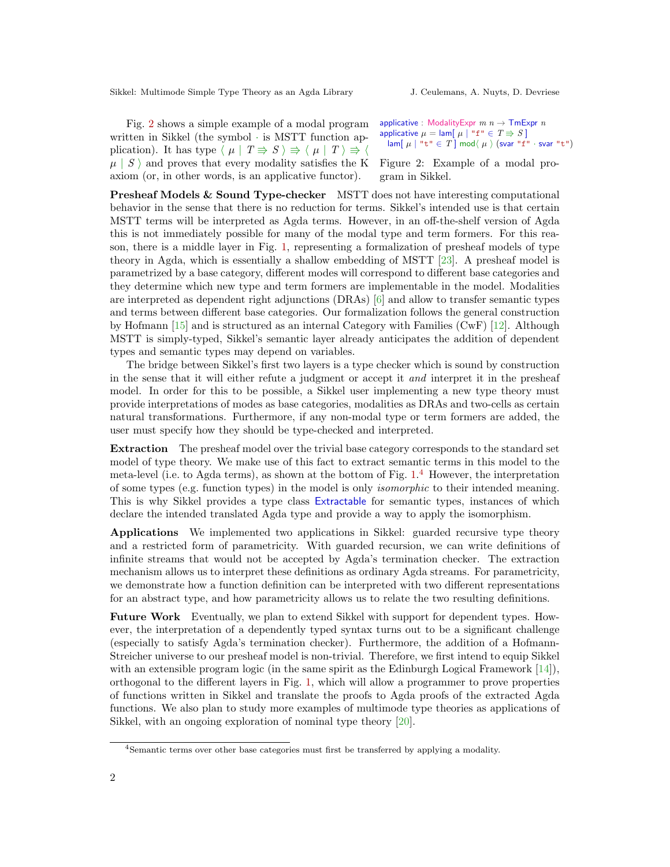Sikkel: Multimode Simple Type Theory as an Agda Library J. Ceulemans, A. Nuyts, D. Devriese

Fig. [2](#page-1-0) shows a simple example of a modal program written in Sikkel (the symbol · is MSTT function application). It has type  $\langle \mu | T \Rightarrow S \rangle \Rightarrow \langle \mu | T \rangle \Rightarrow \langle$  $\mu \mid S$  and proves that every modality satisfies the K axiom (or, in other words, is an applicative functor).

applicative : ModalityExpr  $m n \rightarrow Tm$ Expr  $n$ applicative  $\mu = \text{lam}[\mu \mid "f" \in T \Rightarrow S]$  $\lceil \mathsf{lam}[\mu] \rceil "t" \in T \rceil \bmod \langle \mu \rangle \text{ (svar "f" \cdot svar "t")}$ 

<span id="page-1-0"></span>Figure 2: Example of a modal program in Sikkel.

Presheaf Models & Sound Type-checker MSTT does not have interesting computational behavior in the sense that there is no reduction for terms. Sikkel's intended use is that certain MSTT terms will be interpreted as Agda terms. However, in an off-the-shelf version of Agda this is not immediately possible for many of the modal type and term formers. For this reason, there is a middle layer in Fig. [1,](#page-0-1) representing a formalization of presheaf models of type theory in Agda, which is essentially a shallow embedding of MSTT [\[23\]](#page-3-7). A presheaf model is parametrized by a base category, different modes will correspond to different base categories and they determine which new type and term formers are implementable in the model. Modalities are interpreted as dependent right adjunctions (DRAs) [\[6\]](#page-2-11) and allow to transfer semantic types and terms between different base categories. Our formalization follows the general construction by Hofmann [\[15\]](#page-3-8) and is structured as an internal Category with Families (CwF) [\[12\]](#page-2-12). Although MSTT is simply-typed, Sikkel's semantic layer already anticipates the addition of dependent types and semantic types may depend on variables.

The bridge between Sikkel's first two layers is a type checker which is sound by construction in the sense that it will either refute a judgment or accept it and interpret it in the presheaf model. In order for this to be possible, a Sikkel user implementing a new type theory must provide interpretations of modes as base categories, modalities as DRAs and two-cells as certain natural transformations. Furthermore, if any non-modal type or term formers are added, the user must specify how they should be type-checked and interpreted.

Extraction The presheaf model over the trivial base category corresponds to the standard set model of type theory. We make use of this fact to extract semantic terms in this model to the meta-level (i.e. to Agda terms), as shown at the bottom of Fig. [1.](#page-0-1)<sup>[4](#page-1-1)</sup> However, the interpretation of some types (e.g. function types) in the model is only isomorphic to their intended meaning. This is why Sikkel provides a type class Extractable for semantic types, instances of which declare the intended translated Agda type and provide a way to apply the isomorphism.

Applications We implemented two applications in Sikkel: guarded recursive type theory and a restricted form of parametricity. With guarded recursion, we can write definitions of infinite streams that would not be accepted by Agda's termination checker. The extraction mechanism allows us to interpret these definitions as ordinary Agda streams. For parametricity, we demonstrate how a function definition can be interpreted with two different representations for an abstract type, and how parametricity allows us to relate the two resulting definitions.

Future Work Eventually, we plan to extend Sikkel with support for dependent types. However, the interpretation of a dependently typed syntax turns out to be a significant challenge (especially to satisfy Agda's termination checker). Furthermore, the addition of a Hofmann-Streicher universe to our presheaf model is non-trivial. Therefore, we first intend to equip Sikkel with an extensible program logic (in the same spirit as the Edinburgh Logical Framework [\[14\]](#page-2-13)), orthogonal to the different layers in Fig. [1,](#page-0-1) which will allow a programmer to prove properties of functions written in Sikkel and translate the proofs to Agda proofs of the extracted Agda functions. We also plan to study more examples of multimode type theories as applications of Sikkel, with an ongoing exploration of nominal type theory  $[20]$ .

<span id="page-1-1"></span><sup>4</sup>Semantic terms over other base categories must first be transferred by applying a modality.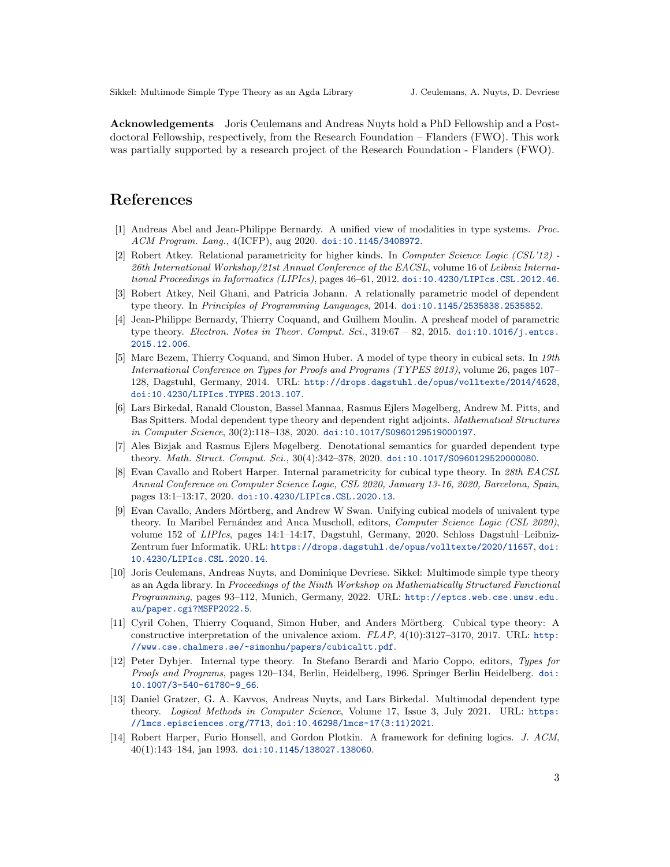Acknowledgements Joris Ceulemans and Andreas Nuyts hold a PhD Fellowship and a Postdoctoral Fellowship, respectively, from the Research Foundation – Flanders (FWO). This work was partially supported by a research project of the Research Foundation - Flanders (FWO).

## References

- <span id="page-2-10"></span>[1] Andreas Abel and Jean-Philippe Bernardy. A unified view of modalities in type systems. Proc. ACM Program. Lang., 4(ICFP), aug 2020. [doi:10.1145/3408972](https://doi.org/10.1145/3408972).
- <span id="page-2-2"></span>[2] Robert Atkey. Relational parametricity for higher kinds. In Computer Science Logic (CSL'12) -26th International Workshop/21st Annual Conference of the EACSL, volume 16 of Leibniz International Proceedings in Informatics (LIPIcs), pages 46–61, 2012. [doi:10.4230/LIPIcs.CSL.2012.46](https://doi.org/10.4230/LIPIcs.CSL.2012.46).
- <span id="page-2-3"></span>[3] Robert Atkey, Neil Ghani, and Patricia Johann. A relationally parametric model of dependent type theory. In Principles of Programming Languages, 2014. [doi:10.1145/2535838.2535852](https://doi.org/10.1145/2535838.2535852).
- <span id="page-2-4"></span>[4] Jean-Philippe Bernardy, Thierry Coquand, and Guilhem Moulin. A presheaf model of parametric type theory. Electron. Notes in Theor. Comput. Sci.,  $319.67 - 82$ ,  $2015$ . [doi:10.1016/j.entcs.](https://doi.org/10.1016/j.entcs.2015.12.006) [2015.12.006](https://doi.org/10.1016/j.entcs.2015.12.006).
- <span id="page-2-6"></span>[5] Marc Bezem, Thierry Coquand, and Simon Huber. A model of type theory in cubical sets. In 19th International Conference on Types for Proofs and Programs (TYPES 2013), volume 26, pages 107– 128, Dagstuhl, Germany, 2014. URL: <http://drops.dagstuhl.de/opus/volltexte/2014/4628>, [doi:10.4230/LIPIcs.TYPES.2013.107](https://doi.org/10.4230/LIPIcs.TYPES.2013.107).
- <span id="page-2-11"></span>[6] Lars Birkedal, Ranald Clouston, Bassel Mannaa, Rasmus Ejlers Møgelberg, Andrew M. Pitts, and Bas Spitters. Modal dependent type theory and dependent right adjoints. Mathematical Structures in Computer Science, 30(2):118–138, 2020. [doi:10.1017/S0960129519000197](https://doi.org/10.1017/S0960129519000197).
- <span id="page-2-0"></span>[7] Ales Bizjak and Rasmus Ejlers Møgelberg. Denotational semantics for guarded dependent type theory. Math. Struct. Comput. Sci., 30(4):342–378, 2020. [doi:10.1017/S0960129520000080](https://doi.org/10.1017/S0960129520000080).
- <span id="page-2-5"></span>[8] Evan Cavallo and Robert Harper. Internal parametricity for cubical type theory. In 28th EACSL Annual Conference on Computer Science Logic, CSL 2020, January 13-16, 2020, Barcelona, Spain, pages 13:1–13:17, 2020. [doi:10.4230/LIPIcs.CSL.2020.13](https://doi.org/10.4230/LIPIcs.CSL.2020.13).
- <span id="page-2-7"></span>[9] Evan Cavallo, Anders Mörtberg, and Andrew W Swan. Unifying cubical models of univalent type theory. In Maribel Fernández and Anca Muscholl, editors, Computer Science Logic (CSL 2020), volume 152 of *LIPIcs*, pages 14:1–14:17, Dagstuhl, Germany, 2020. Schloss Dagstuhl–Leibniz-Zentrum fuer Informatik. URL: <https://drops.dagstuhl.de/opus/volltexte/2020/11657>, [doi:](https://doi.org/10.4230/LIPIcs.CSL.2020.14) [10.4230/LIPIcs.CSL.2020.14](https://doi.org/10.4230/LIPIcs.CSL.2020.14).
- <span id="page-2-9"></span>[10] Joris Ceulemans, Andreas Nuyts, and Dominique Devriese. Sikkel: Multimode simple type theory as an Agda library. In Proceedings of the Ninth Workshop on Mathematically Structured Functional Programming, pages 93–112, Munich, Germany, 2022. URL: [http://eptcs.web.cse.unsw.edu.](http://eptcs.web.cse.unsw.edu.au/paper.cgi?MSFP2022.5) [au/paper.cgi?MSFP2022.5](http://eptcs.web.cse.unsw.edu.au/paper.cgi?MSFP2022.5).
- <span id="page-2-8"></span>[11] Cyril Cohen, Thierry Coquand, Simon Huber, and Anders Mörtberg. Cubical type theory: A constructive interpretation of the univalence axiom.  $FLAP$ ,  $4(10):3127-3170$ ,  $2017$ . URL: [http:](http://www.cse.chalmers.se/~simonhu/papers/cubicaltt.pdf) [//www.cse.chalmers.se/~simonhu/papers/cubicaltt.pdf](http://www.cse.chalmers.se/~simonhu/papers/cubicaltt.pdf).
- <span id="page-2-12"></span>[12] Peter Dybjer. Internal type theory. In Stefano Berardi and Mario Coppo, editors, Types for Proofs and Programs, pages 120–134, Berlin, Heidelberg, 1996. Springer Berlin Heidelberg. [doi:](https://doi.org/10.1007/3-540-61780-9_66) [10.1007/3-540-61780-9\\_66](https://doi.org/10.1007/3-540-61780-9_66).
- <span id="page-2-1"></span>[13] Daniel Gratzer, G. A. Kavvos, Andreas Nuyts, and Lars Birkedal. Multimodal dependent type theory. Logical Methods in Computer Science, Volume 17, Issue 3, July 2021. URL: [https:](https://lmcs.episciences.org/7713) [//lmcs.episciences.org/7713](https://lmcs.episciences.org/7713), [doi:10.46298/lmcs-17\(3:11\)2021](https://doi.org/10.46298/lmcs-17(3:11)2021).
- <span id="page-2-13"></span>[14] Robert Harper, Furio Honsell, and Gordon Plotkin. A framework for defining logics. J. ACM, 40(1):143–184, jan 1993. [doi:10.1145/138027.138060](https://doi.org/10.1145/138027.138060).